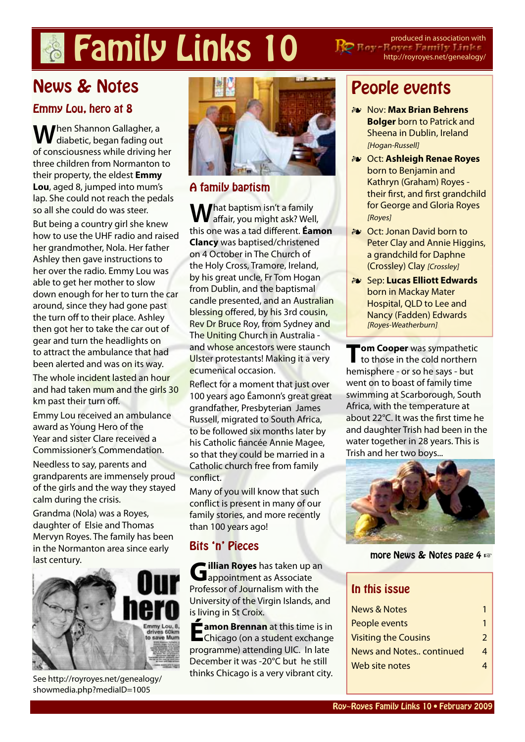# **Family Links 10 Represent Family Constant** but produced in association with

http://royroyes.net/genealogy/

## News & Notes

#### Emmy Lou, hero at 8

**W**hen Shannon Gallagher, a<br>diabetic, began fading out of consciousness while driving her three children from Normanton to their property, the eldest **[Emmy](http://royroyes.net/genealogy/getperson.php?personID=I4879&tree=rr_tree)  [Lou](http://royroyes.net/genealogy/getperson.php?personID=I4879&tree=rr_tree)**, aged 8, jumped into mum's lap. She could not reach the pedals so all she could do was steer.

But being a country girl she knew how to use the UHF radio and raised her grandmother, Nola. Her father Ashley then gave instructions to her over the radio. Emmy Lou was able to get her mother to slow down enough for her to turn the car around, since they had gone past the turn off to their place. Ashley then got her to take the car out of gear and turn the headlights on to attract the ambulance that had been alerted and was on its way.

The whole incident lasted an hour and had taken mum and the girls 30 km past their turn off.

Emmy Lou received an ambulance award as Young Hero of the Year and sister Clare received a Commissioner's Commendation.

Needless to say, parents and grandparents are immensely proud of the girls and the way they stayed calm during the crisis.

Grandma (Nola) was a Royes, daughter of Elsie and Thomas Mervyn Royes. The family has been in the Normanton area since early last century.



See http://royroyes.net/genealogy/ showmedia.php?mediaID=1005



#### A family baptism

What baptism isn't a family<br>affair, you might ask? Well, this one was a tad different. **[Éamon](http://royroyes.net/genealogy/getperson.php?personID=I1859&tree=rr_tree)  [Clancy](http://royroyes.net/genealogy/getperson.php?personID=I1859&tree=rr_tree)** was baptised/christened on 4 October in The Church of the Holy Cross, Tramore, Ireland, by his great uncle, Fr Tom Hogan from Dublin, and the baptismal candle presented, and an Australian blessing offered, by his 3rd cousin, Rev Dr Bruce Roy, from Sydney and The Uniting Church in Australia and whose ancestors were staunch Ulster protestants! Making it a very ecumenical occasion.

Reflect for a moment that just over 100 years ago Éamonn's great great grandfather, Presbyterian James Russell, migrated to South Africa, to be followed six months later by his Catholic fiancée Annie Magee, so that they could be married in a Catholic church free from family conflict.

Many of you will know that such conflict is present in many of our family stories, and more recently than 100 years ago!

### Bits 'n' Pieces

**[Gillian Royes](http://royroyes.net/genealogy/getperson.php?personID=I4473&tree=rr_tree)** has taken up an appointment as Associate Professor of Journalism with the University of the Virgin Islands, and is living in St Croix.

**[Éamon Brennan](http://royroyes.net/genealogy/getperson.php?personID=I4703&tree=rr_tree)** at this time is in<br>
Chicago (on a student exchange programme) attending UIC. In late December it was -20°C but he still thinks Chicago is a very vibrant city.

### People events

- ɶ Nov: **[Max Brian Behrens](http://royroyes.net/genealogy/getperson.php?personID=I2839&tree=rr_tree)  [Bolger](http://royroyes.net/genealogy/getperson.php?personID=I2839&tree=rr_tree)** born to Patrick and Sheena in Dublin, Ireland [Hogan-Russell]
- ɶ Oct: **[Ashleigh Renae Royes](http://royroyes.net/genealogy/getperson.php?personID=I2078&tree=rr_tree)** born to Benjamin and Kathryn (Graham) Royes their first, and first grandchild for George and Gloria Royes [Royes]
- ɶ Oct: Jonan David born to Peter Clay and Annie Higgins, a grandchild for Daphne (Crossley) Clay [Crossley]

**1**

ɶ Sep: **[Lucas Elliott Edwards](http://royroyes.net/genealogy/getperson.php?personID=I5858&tree=rr_tree)** born in Mackay Mater Hospital, QLD to Lee and Nancy (Fadden) Edwards [Royes-Weatherburn]

**[Tom Cooper](http://royroyes.net/genealogy/getperson.php?personID=I198&tree=rr_tree)** was sympathetic<br>to those in the cold northern hemisphere - or so he says - but went on to boast of family time swimming at Scarborough, South Africa, with the temperature at about 22°C. It was the first time he and daughter Trish had been in the water together in 28 years. This is Trish and her two boys...



more News & Notes page 4 ☞

#### In this issue

| <b>News &amp; Notes</b>         |   |
|---------------------------------|---|
| People events                   |   |
| <b>Visiting the Cousins</b>     |   |
| <b>News and Notes continued</b> | Λ |
| Web site notes                  |   |
|                                 |   |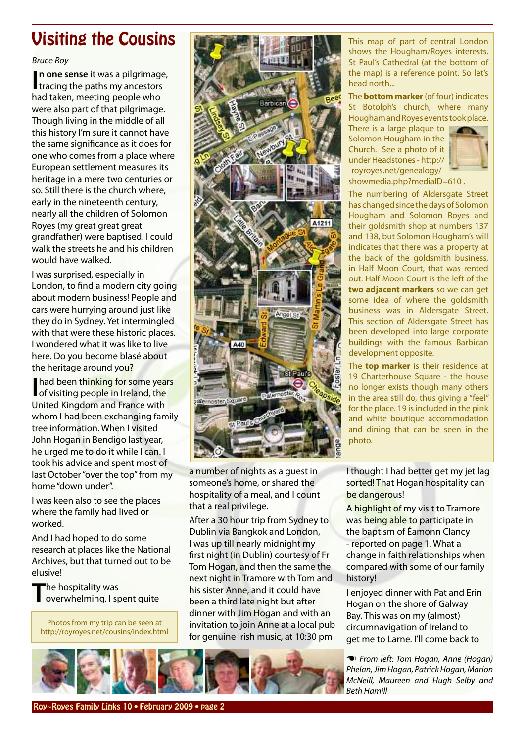### <span id="page-1-0"></span>Visiting the Cousins

#### Bruce Roy

**In one sense** it was a pilgrimage<br>tracing the paths my ancestors **n one sense** it was a pilgrimage, had taken, meeting people who were also part of that pilgrimage. Though living in the middle of all this history I'm sure it cannot have the same significance as it does for one who comes from a place where European settlement measures its heritage in a mere two centuries or so. Still there is the church where, early in the nineteenth century, nearly all the children of Solomon Royes (my great great great grandfather) were baptised. I could walk the streets he and his children would have walked.

I was surprised, especially in London, to find a modern city going about modern business! People and cars were hurrying around just like they do in Sydney. Yet intermingled with that were these historic places. I wondered what it was like to live here. Do you become blasé about the heritage around you?

**I**had been thinking for some years<br>
of visiting people in Ireland, the of visiting people in Ireland, the United Kingdom and France with whom I had been exchanging family tree information. When I visited John Hogan in Bendigo last year, he urged me to do it while I can. I took his advice and spent most of last October "over the top" from my home "down under".

I was keen also to see the places where the family had lived or worked.

And I had hoped to do some research at places like the National Archives, but that turned out to be elusive!

**T**he hospitality was overwhelming. I spent quite

Photos from my trip can be seen at http://royroyes.net/cousins/index.html



a number of nights as a guest in someone's home, or shared the hospitality of a meal, and I count that a real privilege.

After a 30 hour trip from Sydney to Dublin via Bangkok and London, I was up till nearly midnight my first night (in Dublin) courtesy of Fr Tom Hogan, and then the same the next night in Tramore with Tom and his sister Anne, and it could have been a third late night but after dinner with Jim Hogan and with an invitation to join Anne at a local pub for genuine Irish music, at 10:30 pm

This map of part of central London shows the Hougham/Royes interests. St Paul's Cathedral (at the bottom of the map) is a reference point. So let's head north...

The **bottom marker** (of four) indicates St Botolph's church, where many Hougham and Royes events took place.

There is a large plaque to Solomon Hougham in the Church. See a photo of it under [Headstones](http://http://royroyes.net/genealogy/showmedia.php?mediaID=610) - http:// royroyes.net/genealogy/



showmedia.php?mediaID=610 .

The numbering of Aldersgate Street has changed since the days of Solomon Hougham and Solomon Royes and their goldsmith shop at numbers 137 and 138, but Solomon Hougham's will indicates that there was a property at the back of the goldsmith business, in Half Moon Court, that was rented out. Half Moon Court is the left of the **two adjacent markers** so we can get some idea of where the goldsmith business was in Aldersgate Street. This section of Aldersgate Street has been developed into large corporate buildings with the famous Barbican development opposite.

The **top marker** is their residence at 19 Charterhouse Square - the house no longer exists though many others in the area still do, thus giving a "feel" for the place. 19 is included in the pink and white boutique accommodation and dining that can be seen in the photo.

I thought I had better get my jet lag sorted! That Hogan hospitality can be dangerous!

A highlight of my visit to Tramore was being able to participate in the baptism of Éamonn Clancy - reported on page 1. What a change in faith relationships when compared with some of our family history!

I enjoyed dinner with Pat and Erin Hogan on the shore of Galway Bay. This was on my (almost) circumnavigation of Ireland to get me to Larne. I'll come back to

☚ *From left: [Tom Hogan](http://royroyes.net/genealogy/getperson.php?personID=I456&tree=rr_tree), [Anne \(Hogan\)](http://royroyes.net/genealogy/getperson.php?personID=I442&tree=rr_tree) [Phelan,](http://royroyes.net/genealogy/getperson.php?personID=I442&tree=rr_tree) [Jim Hogan,](http://royroyes.net/genealogy/getperson.php?personID=I445&tree=rr_tree) [Patrick Hogan,](http://royroyes.net/genealogy/getperson.php?personID=I450&tree=rr_tree) [Marion](http://royroyes.net/genealogy/getperson.php?personID=I3909&tree=rr_tree) [McNeill](http://royroyes.net/genealogy/getperson.php?personID=I3909&tree=rr_tree), [Maureen and Hugh Selby](http://royroyes.net/genealogy/familygroup.php?familyID=F352&tree=rr_tree) and [Beth Hamill](http://royroyes.net/genealogy/getperson.php?personID=I374&tree=rr_tree)*

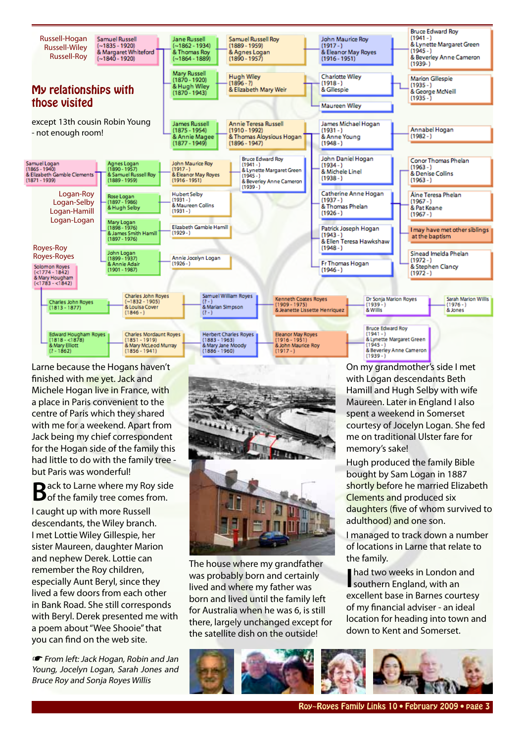

Larne because the Hogans haven't finished with me yet. Jack and Michele Hogan live in France, with a place in Paris convenient to the centre of Paris which they shared with me for a weekend. Apart from Jack being my chief correspondent for the Hogan side of the family this had little to do with the family tree but Paris was wonderful!

**B**ack to Larne where my Roy side<br> **B** of the family tree comes from.

I caught up with more Russell descendants, the Wiley branch. I met Lottie Wiley Gillespie, her sister Maureen, daughter Marion and nephew Derek. Lottie can remember the Roy children, especially Aunt Beryl, since they lived a few doors from each other in Bank Road. She still corresponds with Beryl. Derek presented me with a poem about "Wee Shooie" that you can find on the web site.

☛ From left: [Jack Hogan](http://royroyes.net/genealogy/getperson.php?personID=I447&tree=rr_tree), [Robin and Jan](http://royroyes.net/genealogy/familygroup.php?familyID=F1375&tree=rr_tree) [Young,](http://royroyes.net/genealogy/familygroup.php?familyID=F1375&tree=rr_tree) [Jocelyn Logan](http://royroyes.net/genealogy/getperson.php?personID=I606&tree=rr_tree), [Sarah Jones](http://royroyes.net/genealogy/getperson.php?personID=I1347&tree=rr_tree) and Bruce Roy and [Sonja Royes Willis](http://royroyes.net/genealogy/getperson.php?personID=I4472&tree=rr_tree)



The house where my grandfather was probably born and certainly lived and where my father was born and lived until the family left for Australia when he was 6, is still there, largely unchanged except for the satellite dish on the outside!

On my grandmother's side I met with Logan descendants Beth Hamill and Hugh Selby with wife Maureen. Later in England I also spent a weekend in Somerset courtesy of Jocelyn Logan. She fed me on traditional Ulster fare for memory's sake!

Hugh produced the family Bible bought by Sam Logan in 1887 shortly before he married Elizabeth Clements and produced six daughters (five of whom survived to adulthood) and one son.

I managed to track down a number of locations in Larne that relate to the family.

**I** had two weeks in London and southern England, with an excellent base in Barnes courtesy of my financial adviser - an ideal location for heading into town and down to Kent and Somerset.